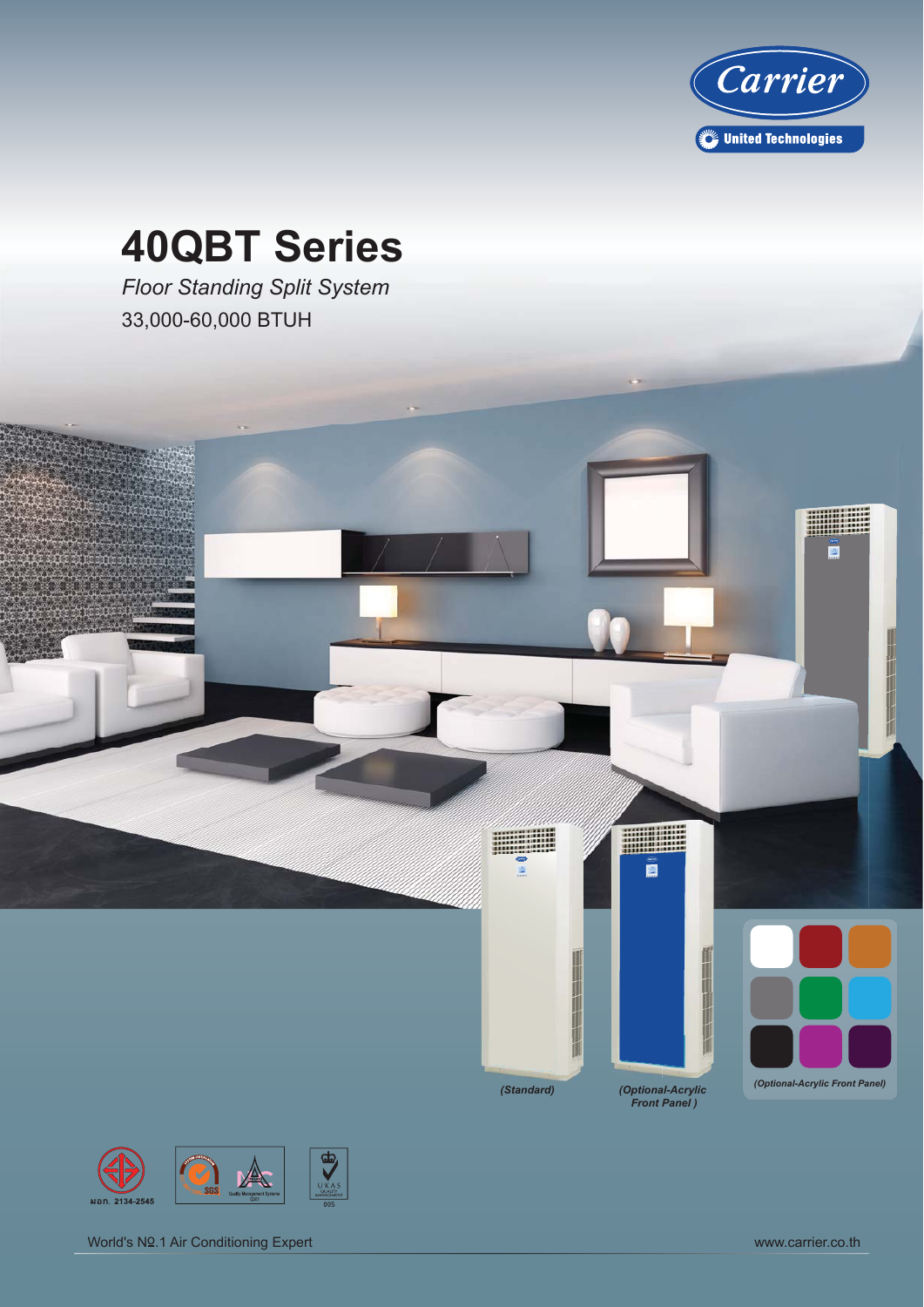

# **40QBT Series**

*Floor Standing Split System* 33,000-60,000 BTUH

л

 $\overline{\mathcal{R}}$ 

...............

*(Standard) (Optional-Acrylic Front Panel )*

E

e

i.

*(Optional-Acrylic Front Panel)*

 $\mathbf{E}$ 



World's Nº.1 Air Conditioning Expert World's Nº.1 Air Conditioning Expert World's Nº.1 Air Conditioning Expert